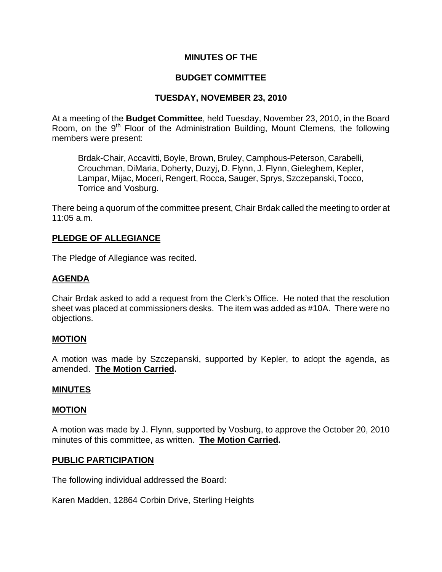### **MINUTES OF THE**

### **BUDGET COMMITTEE**

# **TUESDAY, NOVEMBER 23, 2010**

At a meeting of the **Budget Committee**, held Tuesday, November 23, 2010, in the Board Room, on the 9<sup>th</sup> Floor of the Administration Building, Mount Clemens, the following members were present:

Brdak-Chair, Accavitti, Boyle, Brown, Bruley, Camphous-Peterson, Carabelli, Crouchman, DiMaria, Doherty, Duzyj, D. Flynn, J. Flynn, Gieleghem, Kepler, Lampar, Mijac, Moceri, Rengert, Rocca, Sauger, Sprys, Szczepanski, Tocco, Torrice and Vosburg.

There being a quorum of the committee present, Chair Brdak called the meeting to order at 11:05 a.m.

### **PLEDGE OF ALLEGIANCE**

The Pledge of Allegiance was recited.

### **AGENDA**

Chair Brdak asked to add a request from the Clerk's Office. He noted that the resolution sheet was placed at commissioners desks. The item was added as #10A. There were no objections.

### **MOTION**

A motion was made by Szczepanski, supported by Kepler, to adopt the agenda, as amended. **The Motion Carried.** 

#### **MINUTES**

#### **MOTION**

A motion was made by J. Flynn, supported by Vosburg, to approve the October 20, 2010 minutes of this committee, as written. **The Motion Carried.** 

#### **PUBLIC PARTICIPATION**

The following individual addressed the Board:

Karen Madden, 12864 Corbin Drive, Sterling Heights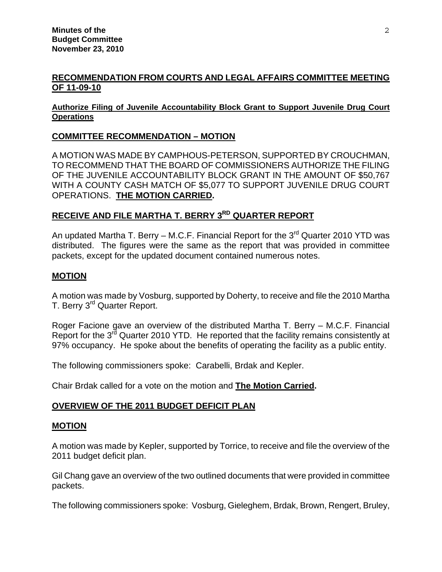### **RECOMMENDATION FROM COURTS AND LEGAL AFFAIRS COMMITTEE MEETING OF 11-09-10**

#### **Authorize Filing of Juvenile Accountability Block Grant to Support Juvenile Drug Court Operations**

# **COMMITTEE RECOMMENDATION – MOTION**

A MOTION WAS MADE BY CAMPHOUS-PETERSON, SUPPORTED BY CROUCHMAN, TO RECOMMEND THAT THE BOARD OF COMMISSIONERS AUTHORIZE THE FILING OF THE JUVENILE ACCOUNTABILITY BLOCK GRANT IN THE AMOUNT OF \$50,767 WITH A COUNTY CASH MATCH OF \$5,077 TO SUPPORT JUVENILE DRUG COURT OPERATIONS. **THE MOTION CARRIED.**

# **RECEIVE AND FILE MARTHA T. BERRY 3<sup>RD</sup> QUARTER REPORT**

An updated Martha T. Berry – M.C.F. Financial Report for the  $3<sup>rd</sup>$  Quarter 2010 YTD was distributed. The figures were the same as the report that was provided in committee packets, except for the updated document contained numerous notes.

#### **MOTION**

A motion was made by Vosburg, supported by Doherty, to receive and file the 2010 Martha T. Berry 3<sup>rd</sup> Quarter Report.

Roger Facione gave an overview of the distributed Martha T. Berry – M.C.F. Financial Report for the 3<sup>rd</sup> Quarter 2010 YTD. He reported that the facility remains consistently at 97% occupancy. He spoke about the benefits of operating the facility as a public entity.

The following commissioners spoke: Carabelli, Brdak and Kepler.

Chair Brdak called for a vote on the motion and **The Motion Carried.** 

### **OVERVIEW OF THE 2011 BUDGET DEFICIT PLAN**

#### **MOTION**

A motion was made by Kepler, supported by Torrice, to receive and file the overview of the 2011 budget deficit plan.

Gil Chang gave an overview of the two outlined documents that were provided in committee packets.

The following commissioners spoke: Vosburg, Gieleghem, Brdak, Brown, Rengert, Bruley,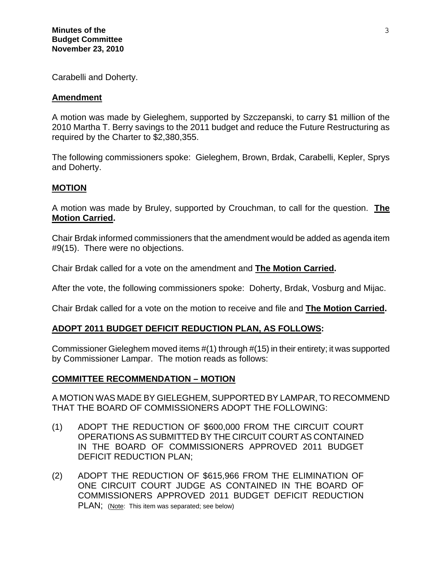Carabelli and Doherty.

#### **Amendment**

A motion was made by Gieleghem, supported by Szczepanski, to carry \$1 million of the 2010 Martha T. Berry savings to the 2011 budget and reduce the Future Restructuring as required by the Charter to \$2,380,355.

The following commissioners spoke: Gieleghem, Brown, Brdak, Carabelli, Kepler, Sprys and Doherty.

### **MOTION**

A motion was made by Bruley, supported by Crouchman, to call for the question. **The Motion Carried.** 

Chair Brdak informed commissioners that the amendment would be added as agenda item #9(15). There were no objections.

Chair Brdak called for a vote on the amendment and **The Motion Carried.** 

After the vote, the following commissioners spoke: Doherty, Brdak, Vosburg and Mijac.

Chair Brdak called for a vote on the motion to receive and file and **The Motion Carried.** 

### **ADOPT 2011 BUDGET DEFICIT REDUCTION PLAN, AS FOLLOWS:**

Commissioner Gieleghem moved items #(1) through #(15) in their entirety; it was supported by Commissioner Lampar. The motion reads as follows:

### **COMMITTEE RECOMMENDATION – MOTION**

A MOTION WAS MADE BY GIELEGHEM, SUPPORTED BY LAMPAR, TO RECOMMEND THAT THE BOARD OF COMMISSIONERS ADOPT THE FOLLOWING:

- (1) ADOPT THE REDUCTION OF \$600,000 FROM THE CIRCUIT COURT OPERATIONS AS SUBMITTED BY THE CIRCUIT COURT AS CONTAINED IN THE BOARD OF COMMISSIONERS APPROVED 2011 BUDGET DEFICIT REDUCTION PLAN;
- (2) ADOPT THE REDUCTION OF \$615,966 FROM THE ELIMINATION OF ONE CIRCUIT COURT JUDGE AS CONTAINED IN THE BOARD OF COMMISSIONERS APPROVED 2011 BUDGET DEFICIT REDUCTION PLAN; (Note: This item was separated; see below)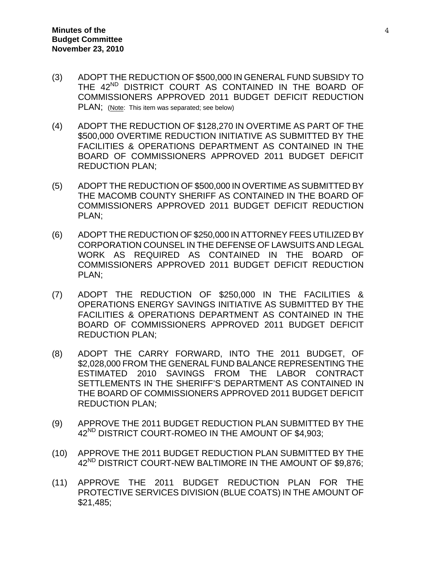- (3) ADOPT THE REDUCTION OF \$500,000 IN GENERAL FUND SUBSIDY TO THE 42<sup>ND</sup> DISTRICT COURT AS CONTAINED IN THE BOARD OF COMMISSIONERS APPROVED 2011 BUDGET DEFICIT REDUCTION PLAN; (Note: This item was separated; see below)
- (4) ADOPT THE REDUCTION OF \$128,270 IN OVERTIME AS PART OF THE \$500,000 OVERTIME REDUCTION INITIATIVE AS SUBMITTED BY THE FACILITIES & OPERATIONS DEPARTMENT AS CONTAINED IN THE BOARD OF COMMISSIONERS APPROVED 2011 BUDGET DEFICIT REDUCTION PLAN;
- (5) ADOPT THE REDUCTION OF \$500,000 IN OVERTIME AS SUBMITTED BY THE MACOMB COUNTY SHERIFF AS CONTAINED IN THE BOARD OF COMMISSIONERS APPROVED 2011 BUDGET DEFICIT REDUCTION PLAN;
- (6) ADOPT THE REDUCTION OF \$250,000 IN ATTORNEY FEES UTILIZED BY CORPORATION COUNSEL IN THE DEFENSE OF LAWSUITS AND LEGAL WORK AS REQUIRED AS CONTAINED IN THE BOARD OF COMMISSIONERS APPROVED 2011 BUDGET DEFICIT REDUCTION PLAN;
- (7) ADOPT THE REDUCTION OF \$250,000 IN THE FACILITIES & OPERATIONS ENERGY SAVINGS INITIATIVE AS SUBMITTED BY THE FACILITIES & OPERATIONS DEPARTMENT AS CONTAINED IN THE BOARD OF COMMISSIONERS APPROVED 2011 BUDGET DEFICIT REDUCTION PLAN;
- (8) ADOPT THE CARRY FORWARD, INTO THE 2011 BUDGET, OF \$2,028,000 FROM THE GENERAL FUND BALANCE REPRESENTING THE ESTIMATED 2010 SAVINGS FROM THE LABOR CONTRACT SETTLEMENTS IN THE SHERIFF'S DEPARTMENT AS CONTAINED IN THE BOARD OF COMMISSIONERS APPROVED 2011 BUDGET DEFICIT REDUCTION PLAN;
- (9) APPROVE THE 2011 BUDGET REDUCTION PLAN SUBMITTED BY THE 42<sup>ND</sup> DISTRICT COURT-ROMEO IN THE AMOUNT OF \$4,903;
- (10) APPROVE THE 2011 BUDGET REDUCTION PLAN SUBMITTED BY THE 42<sup>ND</sup> DISTRICT COURT-NEW BALTIMORE IN THE AMOUNT OF \$9,876;
- (11) APPROVE THE 2011 BUDGET REDUCTION PLAN FOR THE PROTECTIVE SERVICES DIVISION (BLUE COATS) IN THE AMOUNT OF \$21,485;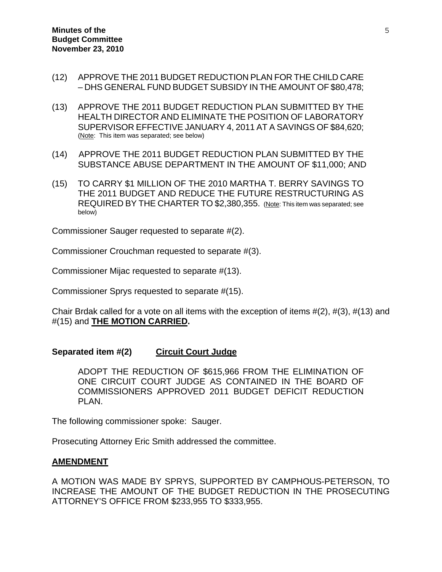- (12) APPROVE THE 2011 BUDGET REDUCTION PLAN FOR THE CHILD CARE – DHS GENERAL FUND BUDGET SUBSIDY IN THE AMOUNT OF \$80,478;
- (13) APPROVE THE 2011 BUDGET REDUCTION PLAN SUBMITTED BY THE HEALTH DIRECTOR AND ELIMINATE THE POSITION OF LABORATORY SUPERVISOR EFFECTIVE JANUARY 4, 2011 AT A SAVINGS OF \$84,620; (Note: This item was separated; see below)
- (14) APPROVE THE 2011 BUDGET REDUCTION PLAN SUBMITTED BY THE SUBSTANCE ABUSE DEPARTMENT IN THE AMOUNT OF \$11,000; AND
- (15) TO CARRY \$1 MILLION OF THE 2010 MARTHA T. BERRY SAVINGS TO THE 2011 BUDGET AND REDUCE THE FUTURE RESTRUCTURING AS REQUIRED BY THE CHARTER TO \$2,380,355. (Note: This item was separated; see below)

Commissioner Sauger requested to separate #(2).

Commissioner Crouchman requested to separate #(3).

Commissioner Mijac requested to separate #(13).

Commissioner Sprys requested to separate #(15).

Chair Brdak called for a vote on all items with the exception of items  $\#(2)$ ,  $\#(3)$ ,  $\#(13)$  and #(15) and **THE MOTION CARRIED.** 

#### **Separated item #(2) Circuit Court Judge**

ADOPT THE REDUCTION OF \$615,966 FROM THE ELIMINATION OF ONE CIRCUIT COURT JUDGE AS CONTAINED IN THE BOARD OF COMMISSIONERS APPROVED 2011 BUDGET DEFICIT REDUCTION PLAN.

The following commissioner spoke: Sauger.

Prosecuting Attorney Eric Smith addressed the committee.

#### **AMENDMENT**

A MOTION WAS MADE BY SPRYS, SUPPORTED BY CAMPHOUS-PETERSON, TO INCREASE THE AMOUNT OF THE BUDGET REDUCTION IN THE PROSECUTING ATTORNEY'S OFFICE FROM \$233,955 TO \$333,955.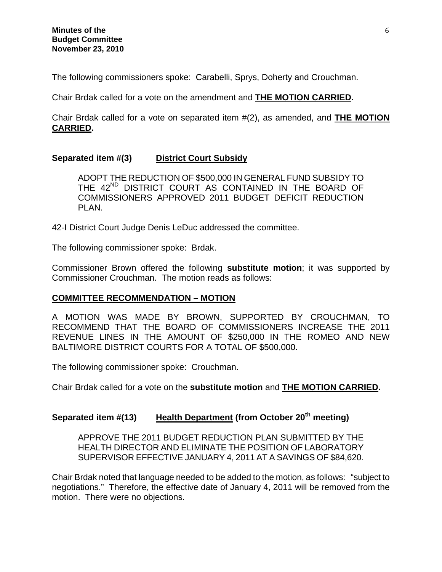The following commissioners spoke: Carabelli, Sprys, Doherty and Crouchman.

Chair Brdak called for a vote on the amendment and **THE MOTION CARRIED.** 

Chair Brdak called for a vote on separated item #(2), as amended, and **THE MOTION CARRIED.** 

# **Separated item #(3) District Court Subsidy**

ADOPT THE REDUCTION OF \$500,000 IN GENERAL FUND SUBSIDY TO THE 42<sup>ND</sup> DISTRICT COURT AS CONTAINED IN THE BOARD OF COMMISSIONERS APPROVED 2011 BUDGET DEFICIT REDUCTION PLAN.

42-I District Court Judge Denis LeDuc addressed the committee.

The following commissioner spoke: Brdak.

Commissioner Brown offered the following **substitute motion**; it was supported by Commissioner Crouchman. The motion reads as follows:

### **COMMITTEE RECOMMENDATION – MOTION**

A MOTION WAS MADE BY BROWN, SUPPORTED BY CROUCHMAN, TO RECOMMEND THAT THE BOARD OF COMMISSIONERS INCREASE THE 2011 REVENUE LINES IN THE AMOUNT OF \$250,000 IN THE ROMEO AND NEW BALTIMORE DISTRICT COURTS FOR A TOTAL OF \$500,000.

The following commissioner spoke: Crouchman.

Chair Brdak called for a vote on the **substitute motion** and **THE MOTION CARRIED.**

# Separated item #(13) Health Department (from October 20<sup>th</sup> meeting)

APPROVE THE 2011 BUDGET REDUCTION PLAN SUBMITTED BY THE HEALTH DIRECTOR AND ELIMINATE THE POSITION OF LABORATORY SUPERVISOR EFFECTIVE JANUARY 4, 2011 AT A SAVINGS OF \$84,620.

Chair Brdak noted that language needed to be added to the motion, as follows: "subject to negotiations." Therefore, the effective date of January 4, 2011 will be removed from the motion.There were no objections.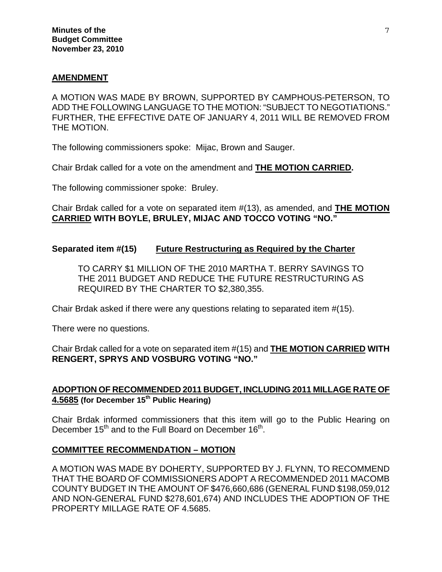### **AMENDMENT**

A MOTION WAS MADE BY BROWN, SUPPORTED BY CAMPHOUS-PETERSON, TO ADD THE FOLLOWING LANGUAGE TO THE MOTION: "SUBJECT TO NEGOTIATIONS." FURTHER, THE EFFECTIVE DATE OF JANUARY 4, 2011 WILL BE REMOVED FROM THE MOTION.

The following commissioners spoke: Mijac, Brown and Sauger.

Chair Brdak called for a vote on the amendment and **THE MOTION CARRIED.** 

The following commissioner spoke: Bruley.

Chair Brdak called for a vote on separated item #(13), as amended, and **THE MOTION CARRIED WITH BOYLE, BRULEY, MIJAC AND TOCCO VOTING "NO."** 

**Separated item #(15) Future Restructuring as Required by the Charter**

TO CARRY \$1 MILLION OF THE 2010 MARTHA T. BERRY SAVINGS TO THE 2011 BUDGET AND REDUCE THE FUTURE RESTRUCTURING AS REQUIRED BY THE CHARTER TO \$2,380,355.

Chair Brdak asked if there were any questions relating to separated item #(15).

There were no questions.

Chair Brdak called for a vote on separated item #(15) and **THE MOTION CARRIED WITH RENGERT, SPRYS AND VOSBURG VOTING "NO."** 

# **ADOPTION OF RECOMMENDED 2011 BUDGET, INCLUDING 2011 MILLAGE RATE OF 4.5685 (for December 15th Public Hearing)**

Chair Brdak informed commissioners that this item will go to the Public Hearing on December 15<sup>th</sup> and to the Full Board on December 16<sup>th</sup>.

### **COMMITTEE RECOMMENDATION – MOTION**

A MOTION WAS MADE BY DOHERTY, SUPPORTED BY J. FLYNN, TO RECOMMEND THAT THE BOARD OF COMMISSIONERS ADOPT A RECOMMENDED 2011 MACOMB COUNTY BUDGET IN THE AMOUNT OF \$476,660,686 (GENERAL FUND \$198,059,012 AND NON-GENERAL FUND \$278,601,674) AND INCLUDES THE ADOPTION OF THE PROPERTY MILLAGE RATE OF 4.5685.